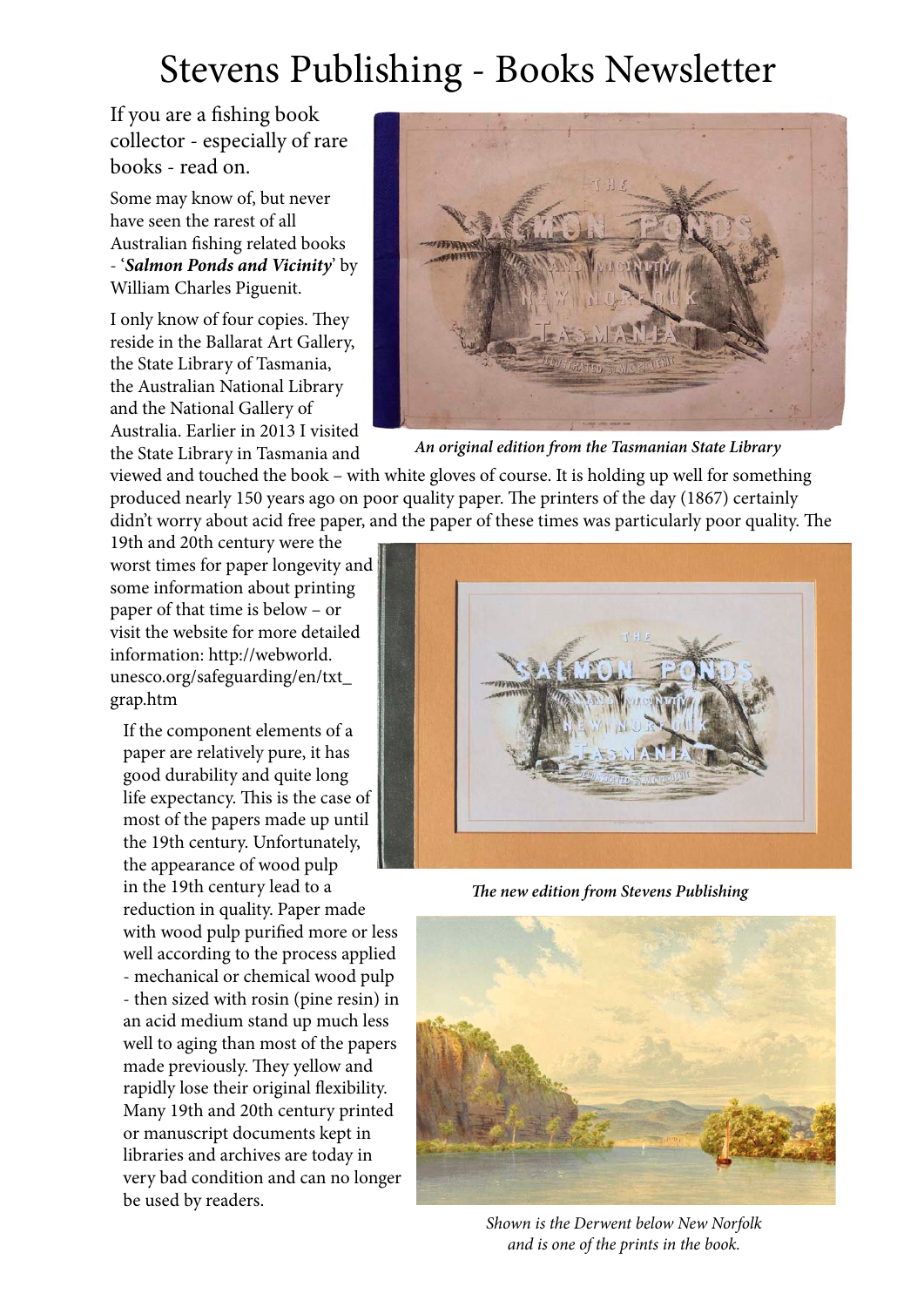## Stevens Publishing - Books Newsletter

If you are a fishing book collector - especially of rare books - read on.

Some may know of, but never have seen the rarest of all Australian fishing related books - '*Salmon Ponds and Vicinity*' by William Charles Piguenit.

I only know of four copies. They reside in the Ballarat Art Gallery, the State Library of Tasmania, the Australian National Library and the National Gallery of Australia. Earlier in 2013 I visited the State Library in Tasmania and



*An original edition from the Tasmanian State Library*

viewed and touched the book – with white gloves of course. It is holding up well for something produced nearly 150 years ago on poor quality paper. The printers of the day (1867) certainly didn't worry about acid free paper, and the paper of these times was particularly poor quality. The

19th and 20th century were the worst times for paper longevity and some information about printing paper of that time is below – or visit the website for more detailed information: http://webworld. unesco.org/safeguarding/en/txt\_ grap.htm

If the component elements of a paper are relatively pure, it has good durability and quite long life expectancy. This is the case of most of the papers made up until the 19th century. Unfortunately, the appearance of wood pulp in the 19th century lead to a reduction in quality. Paper made with wood pulp purified more or less well according to the process applied - mechanical or chemical wood pulp - then sized with rosin (pine resin) in an acid medium stand up much less well to aging than most of the papers made previously. They yellow and rapidly lose their original flexibility. Many 19th and 20th century printed or manuscript documents kept in libraries and archives are today in very bad condition and can no longer be used by readers.



*The new edition from Stevens Publishing*



*Shown is the Derwent below New Norfolk and is one of the prints in the book.*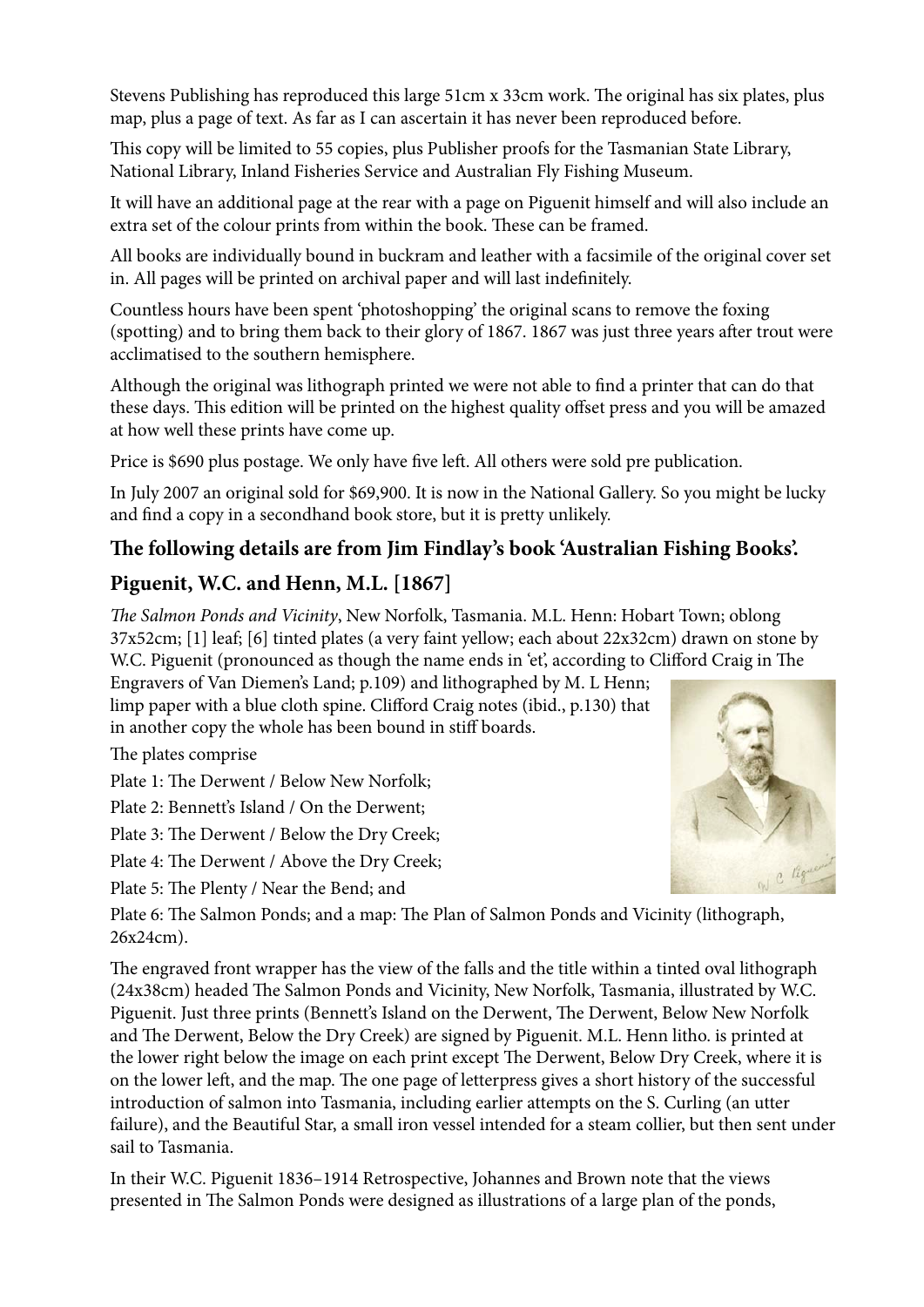Stevens Publishing has reproduced this large 51cm x 33cm work. The original has six plates, plus map, plus a page of text. As far as I can ascertain it has never been reproduced before.

This copy will be limited to 55 copies, plus Publisher proofs for the Tasmanian State Library, National Library, Inland Fisheries Service and Australian Fly Fishing Museum.

It will have an additional page at the rear with a page on Piguenit himself and will also include an extra set of the colour prints from within the book. These can be framed.

All books are individually bound in buckram and leather with a facsimile of the original cover set in. All pages will be printed on archival paper and will last indefinitely.

Countless hours have been spent 'photoshopping' the original scans to remove the foxing (spotting) and to bring them back to their glory of 1867. 1867 was just three years after trout were acclimatised to the southern hemisphere.

Although the original was lithograph printed we were not able to find a printer that can do that these days. This edition will be printed on the highest quality offset press and you will be amazed at how well these prints have come up.

Price is \$690 plus postage. We only have five left. All others were sold pre publication.

In July 2007 an original sold for \$69,900. It is now in the National Gallery. So you might be lucky and find a copy in a secondhand book store, but it is pretty unlikely.

#### **The following details are from Jim Findlay's book 'Australian Fishing Books'.**

#### **Piguenit, W.C. and Henn, M.L. [1867]**

*The Salmon Ponds and Vicinity*, New Norfolk, Tasmania. M.L. Henn: Hobart Town; oblong 37x52cm; [1] leaf; [6] tinted plates (a very faint yellow; each about 22x32cm) drawn on stone by W.C. Piguenit (pronounced as though the name ends in 'et', according to Clifford Craig in The

Engravers of Van Diemen's Land; p.109) and lithographed by M. L Henn; limp paper with a blue cloth spine. Clifford Craig notes (ibid., p.130) that in another copy the whole has been bound in stiff boards.

The plates comprise

Plate 1: The Derwent / Below New Norfolk;

Plate 2: Bennett's Island / On the Derwent;

Plate 3: The Derwent / Below the Dry Creek;

Plate 4: The Derwent / Above the Dry Creek;

Plate 5: The Plenty / Near the Bend; and



Plate 6: The Salmon Ponds; and a map: The Plan of Salmon Ponds and Vicinity (lithograph, 26x24cm).

The engraved front wrapper has the view of the falls and the title within a tinted oval lithograph (24x38cm) headed The Salmon Ponds and Vicinity, New Norfolk, Tasmania, illustrated by W.C. Piguenit. Just three prints (Bennett's Island on the Derwent, The Derwent, Below New Norfolk and The Derwent, Below the Dry Creek) are signed by Piguenit. M.L. Henn litho. is printed at the lower right below the image on each print except The Derwent, Below Dry Creek, where it is on the lower left, and the map. The one page of letterpress gives a short history of the successful introduction of salmon into Tasmania, including earlier attempts on the S. Curling (an utter failure), and the Beautiful Star, a small iron vessel intended for a steam collier, but then sent under sail to Tasmania.

In their W.C. Piguenit 1836–1914 Retrospective, Johannes and Brown note that the views presented in The Salmon Ponds were designed as illustrations of a large plan of the ponds,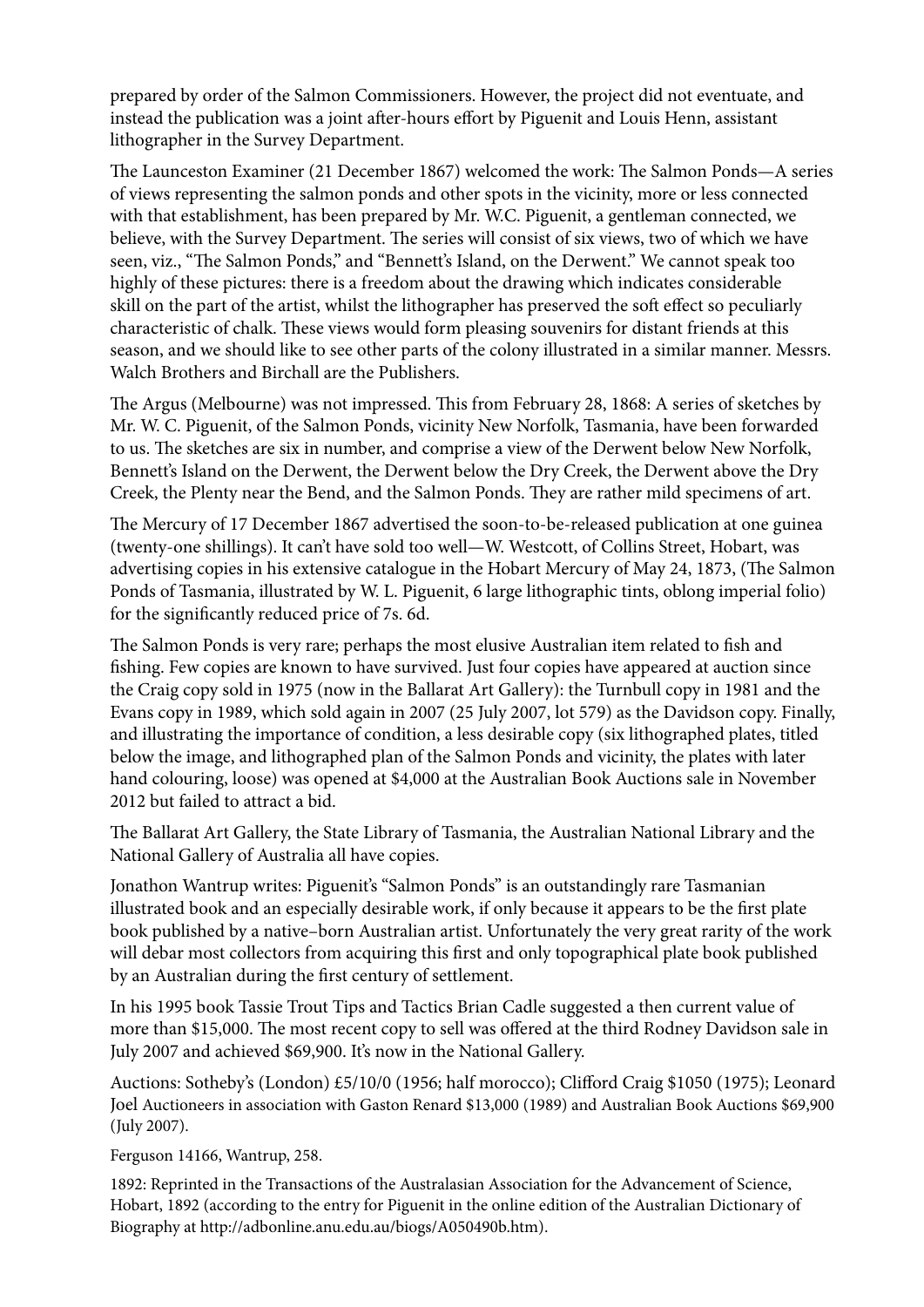prepared by order of the Salmon Commissioners. However, the project did not eventuate, and instead the publication was a joint after-hours effort by Piguenit and Louis Henn, assistant lithographer in the Survey Department.

The Launceston Examiner (21 December 1867) welcomed the work: The Salmon Ponds—A series of views representing the salmon ponds and other spots in the vicinity, more or less connected with that establishment, has been prepared by Mr. W.C. Piguenit, a gentleman connected, we believe, with the Survey Department. The series will consist of six views, two of which we have seen, viz., "The Salmon Ponds," and "Bennett's Island, on the Derwent." We cannot speak too highly of these pictures: there is a freedom about the drawing which indicates considerable skill on the part of the artist, whilst the lithographer has preserved the soft effect so peculiarly characteristic of chalk. These views would form pleasing souvenirs for distant friends at this season, and we should like to see other parts of the colony illustrated in a similar manner. Messrs. Walch Brothers and Birchall are the Publishers.

The Argus (Melbourne) was not impressed. This from February 28, 1868: A series of sketches by Mr. W. C. Piguenit, of the Salmon Ponds, vicinity New Norfolk, Tasmania, have been forwarded to us. The sketches are six in number, and comprise a view of the Derwent below New Norfolk, Bennett's Island on the Derwent, the Derwent below the Dry Creek, the Derwent above the Dry Creek, the Plenty near the Bend, and the Salmon Ponds. They are rather mild specimens of art.

The Mercury of 17 December 1867 advertised the soon-to-be-released publication at one guinea (twenty-one shillings). It can't have sold too well—W. Westcott, of Collins Street, Hobart, was advertising copies in his extensive catalogue in the Hobart Mercury of May 24, 1873, (The Salmon Ponds of Tasmania, illustrated by W. L. Piguenit, 6 large lithographic tints, oblong imperial folio) for the significantly reduced price of 7s. 6d.

The Salmon Ponds is very rare; perhaps the most elusive Australian item related to fish and fishing. Few copies are known to have survived. Just four copies have appeared at auction since the Craig copy sold in 1975 (now in the Ballarat Art Gallery): the Turnbull copy in 1981 and the Evans copy in 1989, which sold again in 2007 (25 July 2007, lot 579) as the Davidson copy. Finally, and illustrating the importance of condition, a less desirable copy (six lithographed plates, titled below the image, and lithographed plan of the Salmon Ponds and vicinity, the plates with later hand colouring, loose) was opened at \$4,000 at the Australian Book Auctions sale in November 2012 but failed to attract a bid.

The Ballarat Art Gallery, the State Library of Tasmania, the Australian National Library and the National Gallery of Australia all have copies.

Jonathon Wantrup writes: Piguenit's "Salmon Ponds" is an outstandingly rare Tasmanian illustrated book and an especially desirable work, if only because it appears to be the first plate book published by a native–born Australian artist. Unfortunately the very great rarity of the work will debar most collectors from acquiring this first and only topographical plate book published by an Australian during the first century of settlement.

In his 1995 book Tassie Trout Tips and Tactics Brian Cadle suggested a then current value of more than \$15,000. The most recent copy to sell was offered at the third Rodney Davidson sale in July 2007 and achieved \$69,900. It's now in the National Gallery.

Auctions: Sotheby's (London) £5/10/0 (1956; half morocco); Clifford Craig \$1050 (1975); Leonard Joel Auctioneers in association with Gaston Renard \$13,000 (1989) and Australian Book Auctions \$69,900 (July 2007).

Ferguson 14166, Wantrup, 258.

1892: Reprinted in the Transactions of the Australasian Association for the Advancement of Science, Hobart, 1892 (according to the entry for Piguenit in the online edition of the Australian Dictionary of Biography at http://adbonline.anu.edu.au/biogs/A050490b.htm).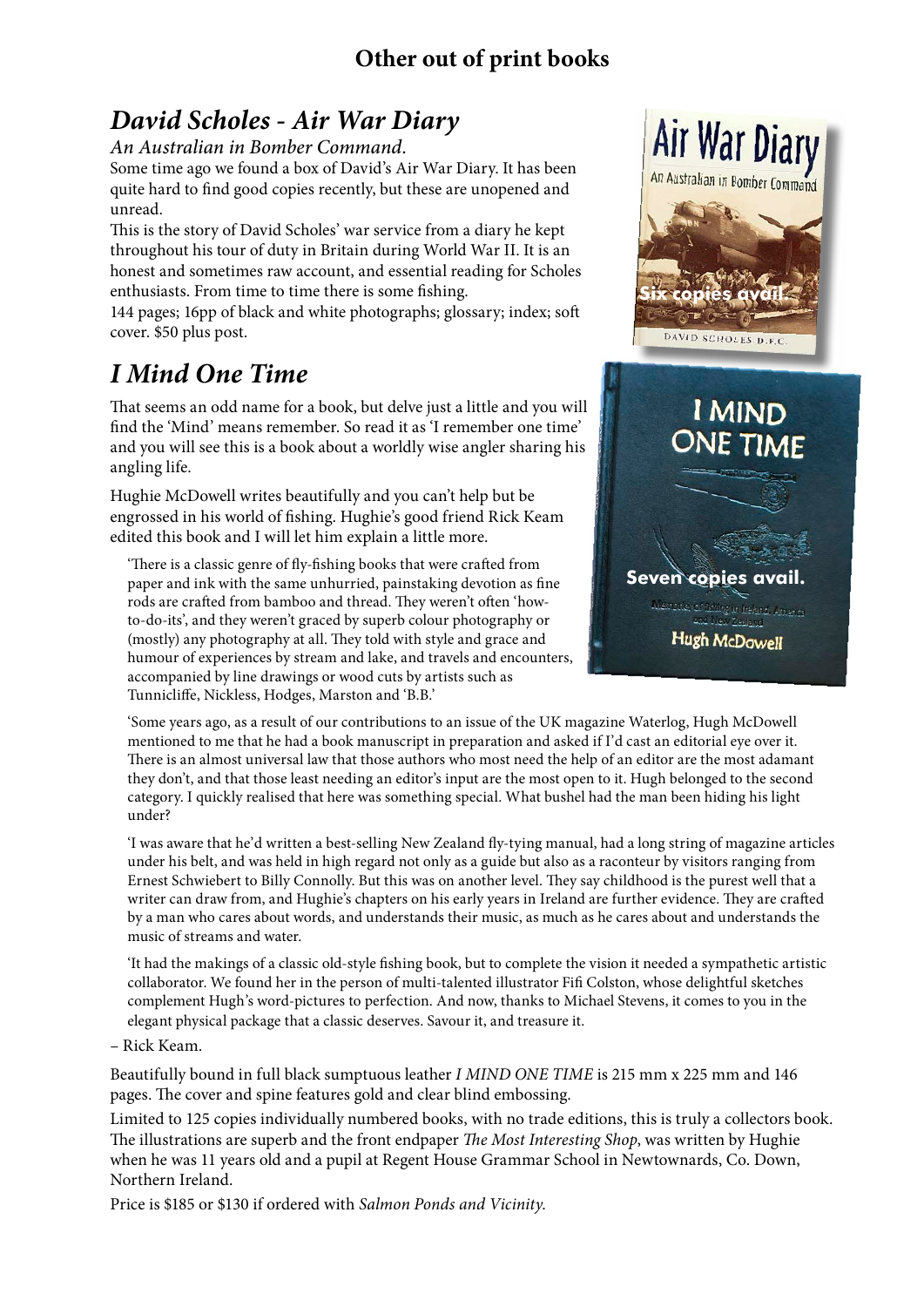#### **Other out of print books**

## *David Scholes - Air War Diary*

*An Australian in Bomber Command.* 

Some time ago we found a box of David's Air War Diary. It has been quite hard to find good copies recently, but these are unopened and unread.

This is the story of David Scholes' war service from a diary he kept throughout his tour of duty in Britain during World War II. It is an honest and sometimes raw account, and essential reading for Scholes enthusiasts. From time to time there is some fishing.

144 pages; 16pp of black and white photographs; glossary; index; soft cover. \$50 plus post.

## *I Mind One Time*

That seems an odd name for a book, but delve just a little and you will find the 'Mind' means remember. So read it as 'I remember one time' and you will see this is a book about a worldly wise angler sharing his angling life.

Hughie McDowell writes beautifully and you can't help but be engrossed in his world of fishing. Hughie's good friend Rick Keam edited this book and I will let him explain a little more.

'There is a classic genre of fly-fishing books that were crafted from paper and ink with the same unhurried, painstaking devotion as fine rods are crafted from bamboo and thread. They weren't often 'howto-do-its', and they weren't graced by superb colour photography or (mostly) any photography at all. They told with style and grace and humour of experiences by stream and lake, and travels and encounters, accompanied by line drawings or wood cuts by artists such as Tunnicliffe, Nickless, Hodges, Marston and 'B.B.'



Air War Diary

'Some years ago, as a result of our contributions to an issue of the UK magazine Waterlog, Hugh McDowell mentioned to me that he had a book manuscript in preparation and asked if I'd cast an editorial eye over it. There is an almost universal law that those authors who most need the help of an editor are the most adamant they don't, and that those least needing an editor's input are the most open to it. Hugh belonged to the second category. I quickly realised that here was something special. What bushel had the man been hiding his light under?

'I was aware that he'd written a best-selling New Zealand fly-tying manual, had a long string of magazine articles under his belt, and was held in high regard not only as a guide but also as a raconteur by visitors ranging from Ernest Schwiebert to Billy Connolly. But this was on another level. They say childhood is the purest well that a writer can draw from, and Hughie's chapters on his early years in Ireland are further evidence. They are crafted by a man who cares about words, and understands their music, as much as he cares about and understands the music of streams and water.

'It had the makings of a classic old-style fishing book, but to complete the vision it needed a sympathetic artistic collaborator. We found her in the person of multi-talented illustrator Fifi Colston, whose delightful sketches complement Hugh's word-pictures to perfection. And now, thanks to Michael Stevens, it comes to you in the elegant physical package that a classic deserves. Savour it, and treasure it.

– Rick Keam.

Beautifully bound in full black sumptuous leather *I MIND ONE TIME* is 215 mm x 225 mm and 146 pages. The cover and spine features gold and clear blind embossing.

Limited to 125 copies individually numbered books, with no trade editions, this is truly a collectors book. The illustrations are superb and the front endpaper *The Most Interesting Shop*, was written by Hughie when he was 11 years old and a pupil at Regent House Grammar School in Newtownards, Co. Down, Northern Ireland.

Price is \$185 or \$130 if ordered with *Salmon Ponds and Vicinity*.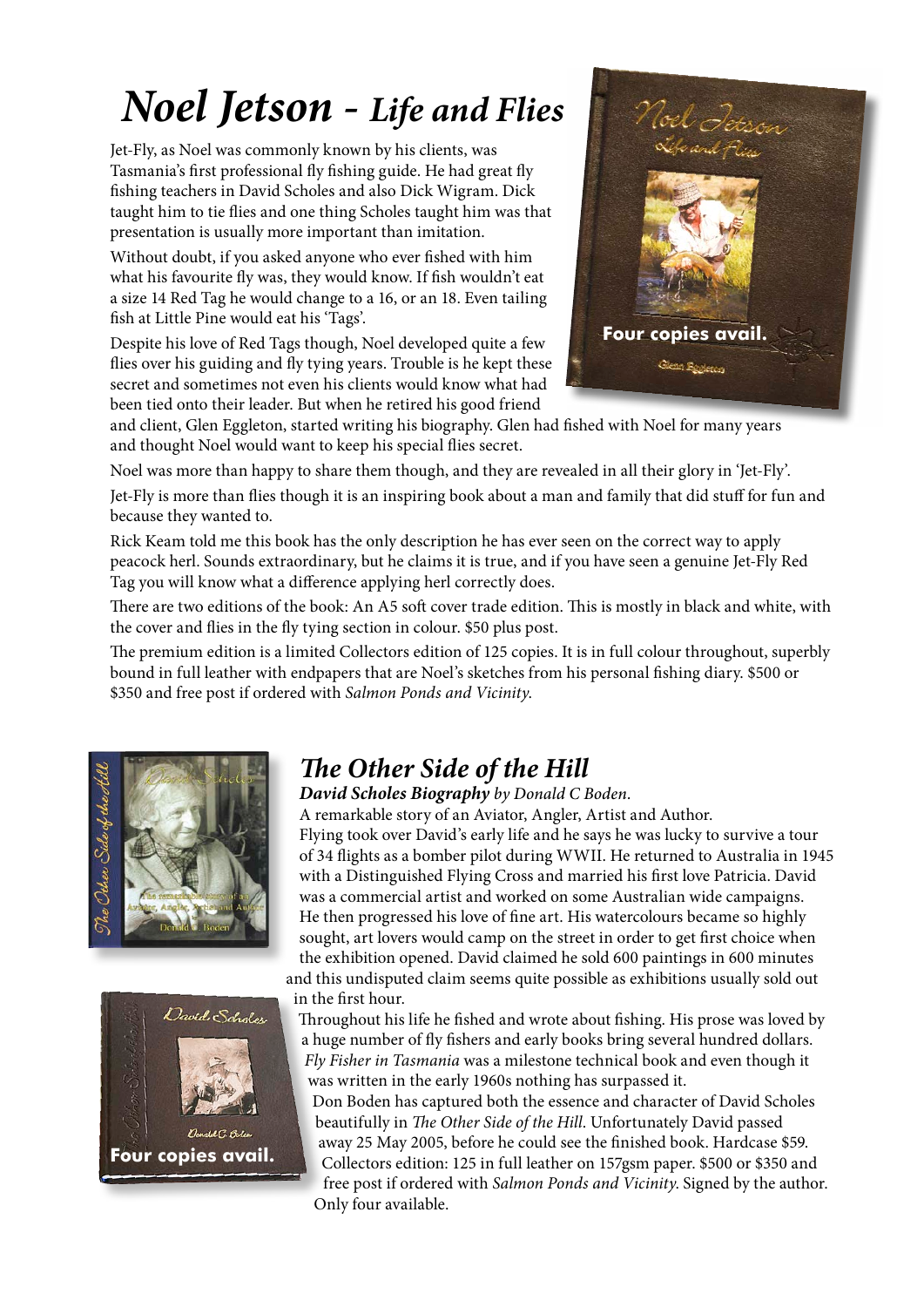# *Noel Jetson - Life and Flies*

Jet-Fly, as Noel was commonly known by his clients, was Tasmania's first professional fly fishing guide. He had great fly fishing teachers in David Scholes and also Dick Wigram. Dick taught him to tie flies and one thing Scholes taught him was that presentation is usually more important than imitation.

Without doubt, if you asked anyone who ever fished with him what his favourite fly was, they would know. If fish wouldn't eat a size 14 Red Tag he would change to a 16, or an 18. Even tailing fish at Little Pine would eat his 'Tags'.

Despite his love of Red Tags though, Noel developed quite a few flies over his guiding and fly tying years. Trouble is he kept these secret and sometimes not even his clients would know what had been tied onto their leader. But when he retired his good friend



and client, Glen Eggleton, started writing his biography. Glen had fished with Noel for many years and thought Noel would want to keep his special flies secret.

Noel was more than happy to share them though, and they are revealed in all their glory in 'Jet-Fly'.

Jet-Fly is more than flies though it is an inspiring book about a man and family that did stuff for fun and because they wanted to.

Rick Keam told me this book has the only description he has ever seen on the correct way to apply peacock herl. Sounds extraordinary, but he claims it is true, and if you have seen a genuine Jet-Fly Red Tag you will know what a difference applying herl correctly does.

There are two editions of the book: An A5 soft cover trade edition. This is mostly in black and white, with the cover and flies in the fly tying section in colour. \$50 plus post.

The premium edition is a limited Collectors edition of 125 copies. It is in full colour throughout, superbly bound in full leather with endpapers that are Noel's sketches from his personal fishing diary. \$500 or \$350 and free post if ordered with *Salmon Ponds and Vicinity*.





### *The Other Side of the Hill*

*David Scholes Biography by Donald C Boden.*

A remarkable story of an Aviator, Angler, Artist and Author. Flying took over David's early life and he says he was lucky to survive a tour of 34 flights as a bomber pilot during WWII. He returned to Australia in 1945 with a Distinguished Flying Cross and married his first love Patricia. David was a commercial artist and worked on some Australian wide campaigns. He then progressed his love of fine art. His watercolours became so highly sought, art lovers would camp on the street in order to get first choice when the exhibition opened. David claimed he sold 600 paintings in 600 minutes

and this undisputed claim seems quite possible as exhibitions usually sold out in the first hour.

Throughout his life he fished and wrote about fishing. His prose was loved by a huge number of fly fishers and early books bring several hundred dollars. *Fly Fisher in Tasmania* was a milestone technical book and even though it was written in the early 1960s nothing has surpassed it.

Don Boden has captured both the essence and character of David Scholes beautifully in *The Other Side of the Hill*. Unfortunately David passed away 25 May 2005, before he could see the finished book. Hardcase \$59. Collectors edition: 125 in full leather on 157gsm paper. \$500 or \$350 and free post if ordered with *Salmon Ponds and Vicinity*. Signed by the author. Only four available.